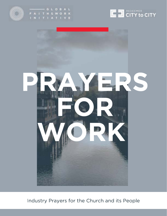







Industry Prayers for the Church and its People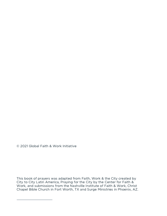© 2021 Global Faith & Work Initiative

This book of prayers was adapted from Faith, Work & the City created by City to City Latin America, Praying for the City by the Center for Faith & Work, and submissions from the Nashville Institute of Faith & Work, Christ Chapel Bible Church in Fort Worth, TX and Surge Ministries in Phoenix, AZ.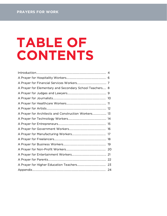# TABLE OF CONTENTS

| A Prayer for Elementary and Secondary School Teachers 8 |  |
|---------------------------------------------------------|--|
|                                                         |  |
|                                                         |  |
|                                                         |  |
|                                                         |  |
| A Prayer for Architects and Construction Workers 13     |  |
|                                                         |  |
|                                                         |  |
|                                                         |  |
|                                                         |  |
|                                                         |  |
|                                                         |  |
|                                                         |  |
|                                                         |  |
|                                                         |  |
|                                                         |  |
|                                                         |  |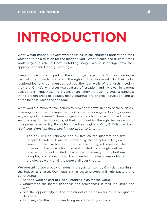# INTRODUCTION

What would happen if every worker sitting in our churches understood their vocation to be a mission for the glory of God? What if each one truly felt their work played a role in God's unfolding story? Would it change how they approached their Monday mornings?

Every Christian who is part of the church gathered on a Sunday morning is part of the church scattered throughout the workweek. In their jobs, relationships, and communities outside the four walls of a church meeting, they are Christ's witnesses—cultivators of creation and renewal in various occupations, industries, and organizations. They are pushing against darkness in the broken areas of politics, manufacturing, art, finance, education, and all of the fields in which they engage.

What would it mean for the church to pray for renewal in each of these fields? How might our cities be impacted by Christians working for God's glory every single day of the week? These prayers are for churches and individuals who want to pray for the flourishing of their communities through the very work of their people day to day. For as Matthew Kaemingk and Cory B. Wilson write in Work and Worship: Reconnecting our Labor to Liturgy,

The city will be renewed not by five church planters and five nonprofit leaders; it will be renewed by the complex callings and careers of the five hundred other people sitting in the pews... The mission of the local church is not limited to a single outreach program. It is not limited to a single missionary. It is pluriform, complex, and all-inclusive. The church's mission is embodied in the diverse work of all the people all over the city.

We present to you a book of industry prayers written by Christians serving in the industries shared. Our hope is that these prayers will help pastors and congregants:

- See this work as part of God's unfolding plan for the world
- Understand the innate goodness and brokenness in their industries and work
- See the opportunity as the priesthood of all believers to shine light on darkness
- Find ways for their industries to represent God's goodness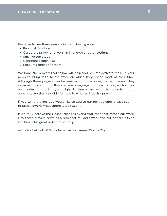Feel free to use these prayers in the following ways:

- Personal devotion
- Corporate prayer and worship in church or other settings
- Small group study
- Conference openings
- Encouragement of others

We hope the prayers that follow will help your church activate those in your pews to bring faith to the work on which they spend most of their time. Although these prayers can be used in church services, we recommend they serve as inspiration for those in your congregation to write prayers for their own industries, which you might in turn share with the church. In the appendix, we share a guide for how to write an industry prayer.

If you write prayers you would like to add to our next volume, please submit to faithandwork@redeemercitytocity.com.

If we truly believe the Gospel changes everything, then that means our work. May these prayers serve as a reminder of God's work and our opportunity to join him in his great redemptive story.

—The Global Faith & Work Initiative, Redeemer City to City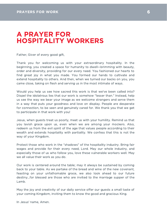## A PRAYER FOR HOSPITALITY WORKERS

Father, Giver of every good gift,

Thank you for welcoming us with your extraordinary hospitality. In the beginning, you created a space for humanity to dwell—brimming with beauty, order and diversity, providing for our every need. You fashioned our hearts to find great joy in what you made. You formed our hands to cultivate and extend hospitality to others. And then, when we turned our backs on you, you came close, taking on flesh and serving us in the most intimate of ways.

Would you help us see how sacred this work is that we've been called into? Dispel the idolatrous lies that our work is somehow "lesser than." Instead, help us see the way we bear your image as we welcome strangers and serve them in a way that puts your goodness and love on display. People are desperate for connection, to be seen and genuinely cared for. We thank you that we get to participate in that work with you!

Jesus, when guests treat us poorly, meet us with your humility. Remind us that you lavish grace upon us, even when we are among your mockers. Also, redeem us from the evil spirit of the age that values people according to their wealth and extends hospitality with partiality. We confess that this is not the way of your Kingdom.

Protect those who work in the "shadows" of the hospitality industry. Bring fair wages and provide for their every need, Lord. May our whole industry, and especially those of us who follow you, love these vulnerable workers well. May we all value their work as you do.

Our work is centered around the table; may it always be sustained by coming back to your table. As we partake of the bread and wine of the new covenant, feasting on your unfathomable grace, we also look ahead to our future destiny...for blessed are those who are invited to the marriage supper of the Lamb.

May the joy and creativity of our daily service offer our guests a small taste of your coming Kingdom, inviting them to know the good and gracious King.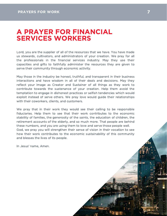### A PRAYER FOR FINANCIAL SERVICES WORKERS

Lord, you are the supplier of all of the resources that we have. You have made us stewards, cultivators, and administrators of your creation. We pray for all the professionals in the financial services industry. May they use their capacities and gifts to faithfully administer the resources they are given to serve their community through economic activity.

May those in the industry be honest, truthful, and transparent in their business interactions and have wisdom in all of their deals and decisions. May they reflect your image as Creator and Sustainer of all things as they work to contribute towards the sustenance of your creation. Help them avoid the temptation to engage in dishonest practices or selfish tendencies which would exploit instead of serve others. We pray love would guide their relationships with their coworkers, clients, and customers.

We pray that in their work they would see their calling to be responsible fiduciaries. Help them to see that their work contributes to the economic stability of families, the generosity of the saints, the education of children, the retirement accounts of the elderly, and so much more. That people are behind these numbers, and you are using them to love and serve those people well. God, we pray you will strengthen their sense of vision in their vocation to see how their work contributes to the economic sustainability of this community and blesses the lives of its people.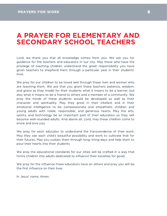#### A PRAYER FOR ELEMENTARY AND SECONDARY SCHOOL TEACHERS

Lord, we thank you that all knowledge comes from you. We ask you for guidance for the teachers and educators in our city. May those who have the privilege of teaching children understand the great responsibility you have given teachers to shepherd them through a particular year in their students' lives.

We pray for our children to be loved well through these men and women who are teaching them. We ask that you grant these teachers patience, wisdom, and grace as they model for their students what it means to be a learner, but also what it means to be a friend to others and a member of a community. We pray the minds of these students would be developed as well as their character and spirituality. May they grow in their intellect and in their emotional intelligence to be compassionate and empathetic children and young adults with noble, responsible, and generous hearts. May the arts, sports, and technology be an important part of their education so they will become well-rounded adults. And above all, Lord, may these children come to know and love you.

We pray for each educator to understand the transcendence of their work. May they see each child's beautiful possibility and work to cultivate that for their futures. May you sustain them through long, tiring days and help them to pour their hearts into their students.

We pray the educational standards for our cities will be crafted in a way that forms children into adults dedicated to influence their societies for good.

We pray for the influence these educators have on others and pray you will be the first influence on their lives.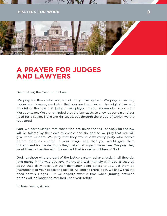#### PRAYERS FOR WORK **9 PRAYERS FOR WORK**



#### A PRAYER FOR JUDGES AND LAWYERS

Dear Father, the Giver of the Law:

We pray for those who are part of our judicial system. We pray for earthly judges and lawyers, reminded that you are the giver of the original law and mindful of the role that judges have played in your redemption story from Moses onward. We are reminded that the law exists to show us our sin and our need for a savior. None are righteous, but through the blood of Christ, we are redeemed.

God, we acknowledge that those who are given the task of applying the law will be tainted by their own fallenness and sin, and so we pray that you will give them wisdom. We pray that they would view every party who comes before them as created in your image and that you would give them discernment for the decisions they make that impact these lives. We pray they would treat all parties with the respect that is due to children of God.

God, let those who are part of the justice system behave justly in all they do, love mercy in the way you love mercy, and walk humbly with you as they go about their daily roles. Let their demeanor point others to you. Let them be instruments of your peace and justice. As long as there is sin, we know that we need earthly judges. But we eagerly await a time when judging between parties will no longer be required upon your return.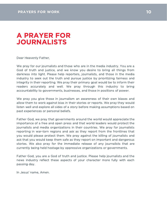## A PRAYER FOR JOURNALISTS

Dear Heavenly Father,

We pray for our journalists and those who are in the media industry. You are a God of truth and justice, and we know you desire to bring all things from darkness into light. Please help reporters, journalists, and those in the media industry to seek out the truth and pursue justice by prioritizing fairness and integrity in their reporting. We pray their primary goal would be to inform their readers accurately and well. We pray through this industry to bring accountability to governments, businesses, and those in positions of power.

We pray you give those in journalism an awareness of their own biases and allow them to work against bias in their stories or reports. We pray they would listen well and explore all sides of a story before making assumptions based on past experiences or personal beliefs.

Father God, we pray that governments around the world would appreciate the importance of a free and open press and that world leaders would protect the journalists and media organizations in their countries. We pray for journalists reporting in war-torn regions and ask as they report from the frontlines that you would please protect them. We pray against the killing of journalists and ask that you would keep them safe as they report on important and dangerous stories. We also pray for the immediate release of any journalists that are currently being held hostage by oppressive organizations or governments.

Father God, you are a God of truth and justice. Please help journalists and the news industry reflect these aspects of your character more fully with each passing day.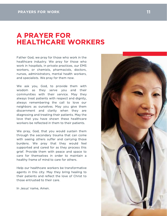#### A PRAYER FOR HEALTHCARE WORKERS

Father God, we pray for those who work in the healthcare industry. We pray for those who work in hospitals, in private practices, our EMS workers, or chemists, pharmacists, doctors, nurses, administrators, mental health workers, and specialists. We pray for them now.

We ask you, God, to provide them with wisdom as they serve you and their communities with their service. May they always treat patients with respect and dignity, always remembering the call to love our neighbors as ourselves. May you give them discernment and clarity when they are diagnosing and treating their patients. May the love that you have shown these healthcare workers be reflected in them to their patients.

We pray, God, that you would sustain them through the secondary trauma that can come with seeing others suffer and carrying those burdens. We pray that they would feel supported and cared for as they process this grief. Provide them with peace and space to care for themselves in order to maintain a healthy frame of mind to care for others.

Help our healthcare workers be transformative agents in this city. May they bring healing to their patients and reflect the love of Christ to those entrusted to their care.

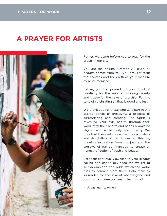## A PRAYER FOR ARTISTS



Father, we come before you to pray for the artists in our city.

You are the original Creator. All truth, all beauty, comes from you. You brought forth the heavens and the earth as your medium to serve mankind.

Father, you first poured out your Spirit of creativity for the sake of honoring beauty and truth—for the sake of worship. For the sake of celebrating all that is good and just.

We thank you for those who take part in this sacred dance of creativity, a process of surrendering and creating. The Spirit is revealing your true nature through their work. May their hearts and hands always be aligned with authenticity and honesty. We pray that these artists can be the cultivators and storytellers of the richness of this life, drawing inspiration from the joys and the sorrows of our communities, to create an honest reflection of truth and beauty.

Let them continually awaken to your greater calling and continually shed the weight of selfish ambition and pride which the world tries to demand from them. Help them to surrender, for the sake of what is good and just, to the stories you want them to tell.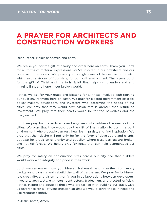### A PRAYER FOR ARCHITECTS AND CONSTRUCTION WORKERS

Dear Father, Maker of heaven and earth,

We praise you for the gift of beauty and order here on earth. Thank you, Lord, for all forms of material expressions you've inspired in our architects and our construction workers. We praise you for glimpses of heaven in our midst, which inspire visions of flourishing for our built environment. Thank you, Lord, for the gift of Christ and the Holy Spirit that helps us to understand and imagine light and hope in our broken world.

Father, we ask for your grace and blessing for all those involved with refining our built environment here on earth. We pray for elected government officials, policy makers, developers, and investors who determine the needs of our cities. We pray that they would have vision that is greater than return on investment. We pray that their hearts would be for the powerless and the marginalized.

Lord, we pray for the architects and engineers who address the needs of our cities. We pray that they would use the gift of imagination to design a built environment where people can rest, heal, learn, praise, and find inspiration. We pray that their desire will not only be for the favor of developers and clients, but also for provision of dignity and equality, where class barriers are broken and not reinforced. We boldly pray for ideas that can help democratize our cities.

We pray for safety on construction sites across our city and that builders would work with integrity and pride in their work.

Lord, we remember how you blessed Nehemiah and Israelites from every background to unite and rebuild the wall of Jerusalem. We pray for boldness, joy, creativity, and vision to glorify you in collaborations between developers, investors, architects, engineers, contractors, tradesmen, and elected officials. Father, inspire and equip all those who are tasked with building our cities. Give us reverence for all of your creation so that we would serve those in need and use resources rightly.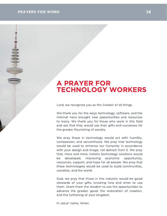# A PRAYER FOR TECHNOLOGY WORKERS

Lord, we recognize you as the Creator of all things.

We thank you for the ways technology, software, and the internet have brought new opportunities and resources to many. We thank you for those who work in this field and ask that they would use their gifts and successes for the greater flourishing of society.

We pray those in technology would act with humility, compassion, and servanthood. We pray that technology would be used to enhance our humanity in accordance with your design and image, not detract from it. We pray that, more and more, holistic technology solutions would be developed, improving economic opportunity, resources, support, and hope for all people. We pray that these technologies would be used to build communities, societies, and the world.

God, we pray that those in this industry would be good stewards of your gifts, knowing how and when to use them. Grant them the wisdom to see the opportunities to advance the greater good, the restoration of creation, and the furthering of your kingdom.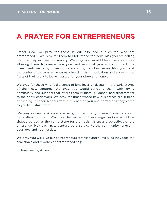# A PRAYER FOR ENTREPRENEURS

Father God, we pray for those in our city and our church who are entrepreneurs. We pray for them to understand the new roles you are calling them to play in their community. We pray you would bless these ventures, allowing them to create new jobs and ask that you would protect the investments made by those who are starting new businesses. May you be at the center of these new ventures, directing their motivation and allowing the fruits of their work to be reinvested for your glory and honor.

We pray for those who feel a sense of loneliness or despair in the early stages of their new ventures. We pray you would surround them with loving community and support that offers them wisdom, guidance, and discernment to their new endeavors. We pray for those whose new businesses are in need of funding--fill their leaders with a reliance on you and comfort as they come to you to sustain them.

We pray as new businesses are being formed that you would provide a solid foundation for them. We pray the values of these organizations would be shaped by you as the cornerstone for the goals, vision, and objectives of the enterprise. May each new venture be a service to the community reflecting your love and your justice.

We pray you will give our entrepreneurs strength and humility as they face the challenges and rewards of entrepreneurship.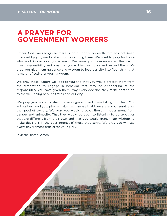# A PRAYER FOR GOVERNMENT WORKERS

Father God, we recognize there is no authority on earth that has not been provided by you, our local authorities among them. We want to pray for those who work in our local government. We know you have entrusted them with great responsibility and pray that you will help us honor and respect them. We pray you give them guidance and wisdom to lead our city into flourishing that is more reflective of your kingdom.

We pray these leaders will look to you and that you would protect them from the temptation to engage in behavior that may be dishonoring of the responsibility you have given them. May every decision they make contribute to the well-being of our citizens and our city.

We pray you would protect those in government from falling into fear. Our authorities need you, please make them aware that they are in your service for the good of society. We pray you would protect those in government from danger and animosity. That they would be open to listening to perspectives that are different from their own and that you would grant them wisdom to make decisions in the best interest of those they serve. We pray you will use every government official for your glory.

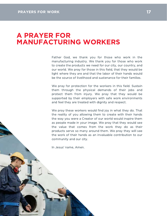#### A PRAYER FOR MANUFACTURING WORKERS

Father God, we thank you for those who work in the manufacturing industry. We thank you for those who work to create the products we need for our city, our country, and our world. We pray for those in this field, that they would be light where they are and that the labor of their hands would be the source of livelihood and sustenance for their families.

We pray for protection for the workers in this field. Sustain them through the physical demands of their jobs and protect them from injury. We pray that they would be supported by their employers with safe work environments and feel they are treated with dignity and respect.

We pray these workers would find joy in what they do. That the reality of you allowing them to create with their hands the way you were a Creator of our world would inspire them as people made in your image. We pray that they would see the value that comes from the work they do as their products serve so many around them. We pray they will see the work of their hands as an invaluable contribution to our community and our city.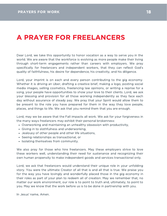# A PRAYER FOR FREELANCERS

Dear Lord, we take this opportunity to honor vocation as a way to serve you in the world. We are aware that the workforce is evolving as more people make their living through short-term engagements rather than careers with employers. We pray specifically for freelancers and independent workers, that they can reflect God's quality of faithfulness, his desire for dependence, his creativity, and his diligence.

Lord, your imprint is on each and every person contributing to the gig economy. Whether it is driving an Uber, drafting a creative brief, making a logo, posting social media images, selling cosmetics, freelancing law opinions, or writing a reprise for a song, your people have opportunities to show your love to their clients. Lord, we ask your blessing and provision for all those working independently as they face each day without assurance of steady pay. We pray that your Spirit would allow them to be present to the role you have prepared for them in the way they love people, places, and things to life. We ask that you remind them that you are enough.

Lord, may we be aware that the Fall impacts all work. We ask for your forgiveness in the many ways freelancers may exhibit their personal brokenness:

- Overworking and maintaining an unhealthy obsession with productivity,
- Giving in to slothfulness and underworking,
- Jealousy of other people and other life situations,
- Seeing relationships as transactional, or
- Isolating themselves from community.

We also pray for those who hire freelancers. May these employers strive to love these workers well, understanding their need for sustenance and recognizing their own human propensity to make independent goods and services transactional only.

Lord, we ask that freelancers would understand their unique role in your unfolding story. You were the ultimate Creator of all that is and all that is true. We praise you for the way you have lovingly and wonderfully placed those in the gig economy in their roles as part of your plan to redeem all of creation. May we remember that, no matter our work environment, our role is to point to truth and, ultimately, to point to you. May we know that the work before us is to be done in partnership with you.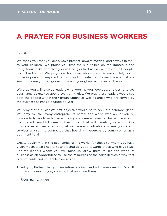# A PRAYER FOR BUSINESS WORKERS

Father,

We thank you that you are always present, always moving, and always faithful to your children. We praise you that the sun shines on the righteous and unrighteous alike and that you will be glorified across all nations, all people, and all industries. We pray now for those who work in business. Holy Spirit, move in powerful ways in this industry to create transformed hearts that are zealous to see your Kingdom come and your glory reign over all the earth.

We pray you will raise up leaders who worship you, love you, and desire to see your name be exalted above everything else. We pray these leaders would see both the people within their organizations as well as those who are served by the business as image-bearers of God.

We pray that a business's first objective would be to seek the common good. We pray for the many entrepreneurs across the world who are driven by passion to fill voids within an economy and create value for the people around them. Plant beautiful ideas in their minds that will benefit your world. Use business as a means to bring about peace in situations where goods and services are so interconnected that hoarding resources by some comes as a detriment to all.

Create equity within the economies of the world; for those to whom you have given much, create hearts to share and do good towards those who have little. For the leaders whom you will raise up, allow them to see the world of business as an opportunity to use the resources of the earth in such a way that is sustainable and equitable towards all.

Thank you, Father, that you are intimately involved with your creation. We lift up these prayers to you, knowing that you hear them.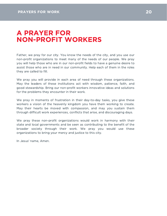# A PRAYER FOR NON-PROFIT WORKERS

Father, we pray for our city. You know the needs of the city, and you use our non-profit organizations to meet many of the needs of our people. We pray you will help those who are in our non-profit fields to have a genuine desire to assist those who are in need in our community. Help each of them in the roles they are called to fill.

We pray you will provide in each area of need through these organizations. May the leaders of these institutions act with wisdom, patience, faith, and good stewardship. Bring our non-profit workers innovative ideas and solutions for the problems they encounter in their work.

We pray in moments of frustration in their day-to-day tasks, you give these workers a vision of the heavenly kingdom you have them working to create. May their hearts be moved with compassion, and may you sustain them through difficult work experiences, conflicts that arise, and discouraging days.

We pray these non-profit organizations would work in harmony with their state and local governments and be seen as contributing to the benefit of the broader society through their work. We pray you would use these organizations to bring your mercy and justice to this city.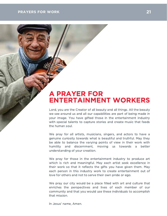#### PRAYERS FOR WORK **21 AU 21 AU 21 AU 21 AU 21 AU 21 AU 21 AU 21**

## A PRAYER FOR ENTERTAINMENT WORKERS

Lord, you are the Creator of all beauty and all things. All the beauty we see around us and all our capabilities are part of being made in your image. You have gifted those in the entertainment industry with special talents to capture stories and create music that feeds the human soul.

We pray for all artists, musicians, singers, and actors to have a genuine curiosity towards what is beautiful and truthful. May they be able to balance the varying points of view in their work with humility and discernment, moving us towards a better understanding of your creation.

We pray for those in the entertainment industry to produce art which is rich and meaningful. May each artist seek excellence in their work so that it reflects the gifts you have given them. May each person in this industry work to create entertainment out of love for others and not to serve their own pride or ego.

We pray our city would be a place filled with art and culture that enriches the perspectives and lives of each member of our community and that you would use these individuals to accomplish that mission.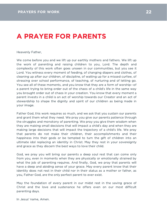# A PRAYER FOR PARENTS

Heavenly Father,

We come before you and we lift up our earthly mothers and fathers. We lift up the work of parenting and raising children to you, Lord. The depth and complexity of this work often goes unseen in our communities, but you see it Lord. You witness every moment of feeding, of changing diapers and clothes, of cleaning up after our children, of discipline, of waiting up for a missed curfew, of stressing over school performance, of teaching, of nurturing and of letting go. You see all of these moments, and you know that they are a form of worship--of a parent trying to bring order out of the chaos of a child's life in the same way you brought order out of chaos in your creation. You know that every moment a parent invests in a child is an act of worship towards our Creator and an act of stewardship to shape the dignity and spirit of our children as being made in your image.

Father God, this work requires so much, and we ask that you sustain our parents and grant them what they need. We pray you give our parents patience through the struggles and monotony of parenting. We pray you give them wisdom when they are making small decisions that will impact a child's day and when they are making large decisions that will impact the trajectory of a child's life. We pray that parents do not make their children, their accomplishments and their happiness into their gods or be tempted to turn the gift of children into an ultimate idol replacing an identity in Christ. May they rest in your sovereignty and grace as they discern the best ways to love their child.

God, we pray you will bring our parents a deep soul rest that can come only from you, even in moments when they are physically or emotionally strained by what the job of parenting requires. And finally, God, we pray that parents will have a deep and abiding sense of your grace. May every parent know that their identity does not rest in their child nor in their status as a mother or father, as you, Father God, are the only perfect parent to ever exist.

May the foundation of every parent in our midst rest in the saving grace of Christ and the love and sustenance he offers even on our most difficult parenting days.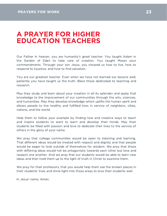# A PRAYER FOR HIGHER EDUCATION TEACHERS

Our Father in heaven, you are humanity's great teacher. You taught Adam in the Garden of Eden to take care of creation. You taught Moses your commandments. Through your son Jesus, you showed us how to live, how to respond to injustice, and how to find salvation.

You are our greatest teacher. Even when we have not learned our lessons well, patiently you have taught us the truth. Bless those dedicated to teaching and research.

May they study and learn about your creation in all its splendor and apply that knowledge to the improvement of our communities through the arts, sciences, and humanities. May they develop knowledge which uplifts the human spirit and allows people to live healthy and fulfilled lives in service of neighbors, cities, nations, and the world.

Help them to follow your example by finding new and creative ways to teach and inspire students to want to learn and develop their minds. May their students be filled with passion and love to dedicate their lives to the service of others in the glory of your name.

We pray that college communities would be open to listening and learning. That different ideas would be treated with respect and dignity and that people would be eager to look outside of themselves for wisdom. We pray that those with differing ideas would not be antagonistic towards each other but love and respect one another. And we pray that our students would be able to learn new ideas and then hold them up to the light of truth in Christ to examine them.

We pray for their professors, that you would help them see the broken places in their students' lives and shine light into those areas to love their students well.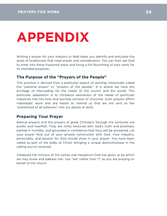# APPENDIX

Writing a prayer for your industry or field helps you identify and articulate the areas of brokenness that need prayer and consideration. You can then ask God to enter into these fractured areas and bring a full flourishing of your work for its intended purposes.

#### The Purpose of the "Prayers of the People"

This practice is derived from a particular aspect of worship, historically called the "pastoral prayer" or "prayers of the people." It is where we have the privilege of interceding for the needs of the church and the world. This particular adaptation is to introduce awareness of the needs of particular industries into the lives and worship services of churches. Such prayers affirm individuals' work and are meant to remind us that we are sent as the "priesthood of all believers" into our places of work.

#### Preparing Your Prayer

Biblical prayers and the prayers of great Christians through the centuries are poetic and heartfelt. They are richly textured with God's truth and promises, bathed in humility, and grounded in confidence that they will be answered. Let your prayer flow out of your private communion with God. Your industry, personality, and passion for God should show in your prayer. You have been called as part of the body of Christ, bringing a unique distinctiveness in the calling you've received.

Celebrate the richness of the names and metaphors God has given us by which we may know and address him. Use "we" rather than "I" as you are praying on behalf of the church.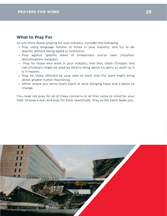#### What to Pray For

As you think about praying for your industry, consider the following:

- Pray using language familiar to those in your industry, and try to be specific without being dated or restrictive.
- Pray against specific areas of brokenness you've seen (injustice, discrimination, inequity).
- Pray for those who work in your industry, that they (both Christian and non-Christian) might be used by God to bring about his glory on earth as it is in heaven.
- Pray for those affected by your area of work, that the work might bring about greater human flourishing.
- Affirm where you sense God's Spirit at work bringing hope and a desire to change.

You need not pray for all of these concerns or all that come to mind for your field. Choose a few, and pray for them specifically. Pray as the Spirit leads you.